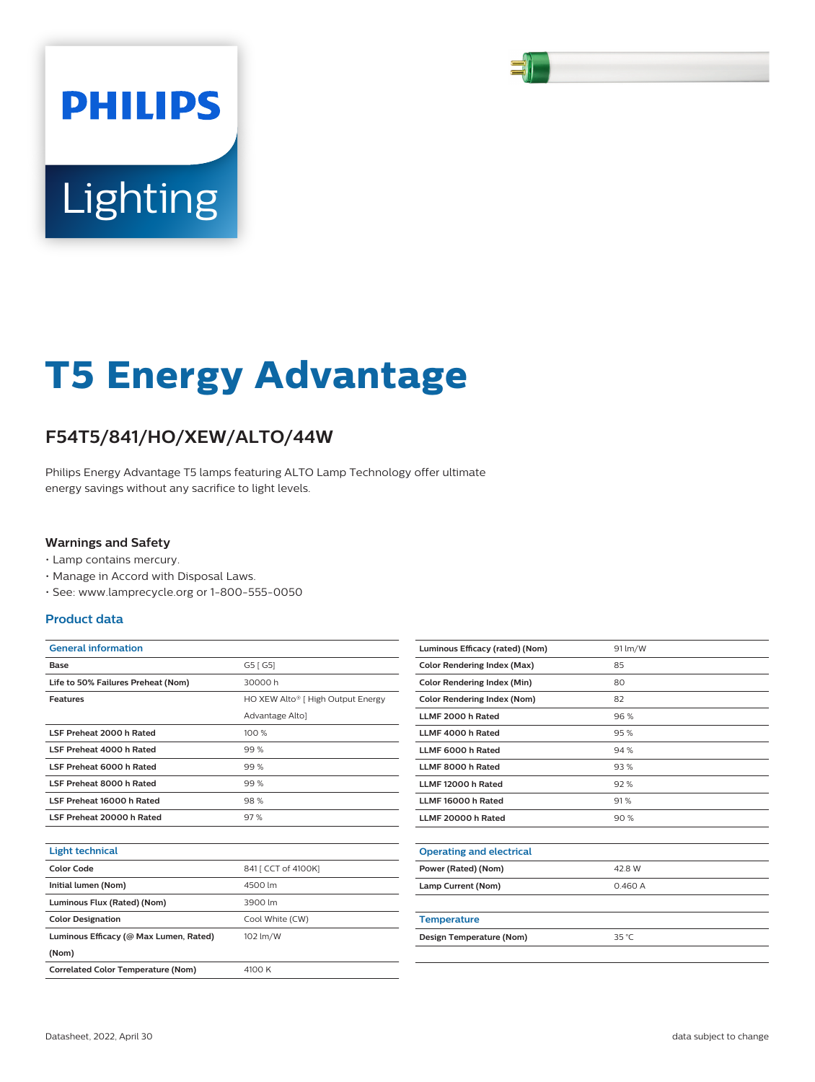

# Lighting

**PHILIPS** 

# **T5 Energy Advantage**

# **F54T5/841/HO/XEW/ALTO/44W**

Philips Energy Advantage T5 lamps featuring ALTO Lamp Technology offer ultimate energy savings without any sacrifice to light levels.

#### **Warnings and Safety**

- Lamp contains mercury.
- Manage in Accord with Disposal Laws.
- See: www.lamprecycle.org or 1-800-555-0050

#### **Product data**

| <b>General information</b>             |                                   |
|----------------------------------------|-----------------------------------|
| Base                                   | G5 [ G5]                          |
| Life to 50% Failures Preheat (Nom)     | 30000 h                           |
| <b>Features</b>                        | HO XEW Alto® [ High Output Energy |
|                                        | Advantage Alto]                   |
| LSF Preheat 2000 h Rated               | 100 %                             |
| LSF Preheat 4000 h Rated               | 99%                               |
| LSF Preheat 6000 h Rated               | 99%                               |
| LSF Preheat 8000 h Rated               | 99%                               |
| LSF Preheat 16000 h Rated              | 98%                               |
| LSF Preheat 20000 h Rated              | 97%                               |
|                                        |                                   |
| <b>Light technical</b>                 |                                   |
| <b>Color Code</b>                      | 841 [ CCT of 4100K]               |
| Initial lumen (Nom)                    | 4500 lm                           |
| Luminous Flux (Rated) (Nom)            | 3900 lm                           |
| <b>Color Designation</b>               | Cool White (CW)                   |
| Luminous Efficacy (@ Max Lumen, Rated) | 102 lm/W                          |
| (Nom)                                  |                                   |

| Luminous Efficacy (rated) (Nom)    | 91 lm/W |
|------------------------------------|---------|
| <b>Color Rendering Index (Max)</b> | 85      |
| <b>Color Rendering Index (Min)</b> | 80      |
| <b>Color Rendering Index (Nom)</b> | 82      |
| LLMF 2000 h Rated                  | 96%     |
| LLMF 4000 h Rated                  | 95%     |
| LLMF 6000 h Rated                  | 94%     |
| LLMF 8000 h Rated                  | 93%     |
| LLMF 12000 h Rated                 | 92%     |
| LLMF 16000 h Rated                 | 91%     |
| LLMF 20000 h Rated                 | 90%     |
|                                    |         |
| <b>Operating and electrical</b>    |         |
| Power (Rated) (Nom)                | 42.8 W  |
| Lamp Current (Nom)                 | 0.460A  |
|                                    |         |
| <b>Temperature</b>                 |         |
| Design Temperature (Nom)           | 35 °C   |
|                                    |         |

**Correlated Color Temperature (Nom)** 4100 K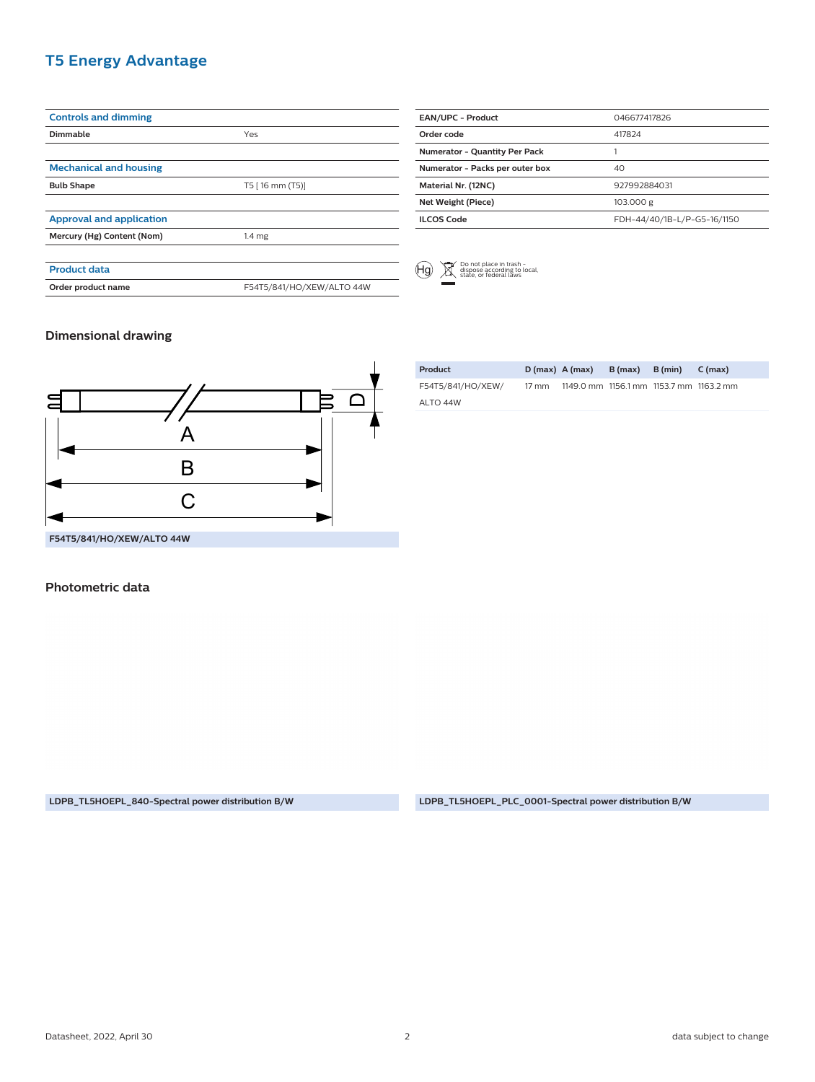### **T5 Energy Advantage**

| <b>Controls and dimming</b>     |                           |
|---------------------------------|---------------------------|
| Dimmable                        | Yes                       |
|                                 |                           |
| <b>Mechanical and housing</b>   |                           |
| <b>Bulb Shape</b>               | T5 [16 mm (T5)]           |
|                                 |                           |
| <b>Approval and application</b> |                           |
| Mercury (Hg) Content (Nom)      | 1.4 <sub>mg</sub>         |
|                                 |                           |
| <b>Product data</b>             |                           |
| Order product name              | F54T5/841/HO/XEW/ALTO 44W |
|                                 |                           |

| <b>EAN/UPC - Product</b>             | 046677417826                |
|--------------------------------------|-----------------------------|
| Order code                           | 417824                      |
| <b>Numerator - Quantity Per Pack</b> |                             |
| Numerator - Packs per outer box      | 40                          |
| Material Nr. (12NC)                  | 927992884031                |
| Net Weight (Piece)                   | 103.000 g                   |
| <b>ILCOS Code</b>                    | FDH-44/40/1B-L/P-G5-16/1150 |



#### **Dimensional drawing**



| <b>Photometric data</b> |
|-------------------------|
|-------------------------|

**Product D (max) A (max) B (max) B (min) C (max)** F54T5/841/HO/XEW/ ALTO 44W 17 mm 1149.0 mm 1156.1 mm 1153.7 mm 1163.2 mm

**LDPB\_TL5HOEPL\_840-Spectral power distribution B/W LDPB\_TL5HOEPL\_PLC\_0001-Spectral power distribution B/W**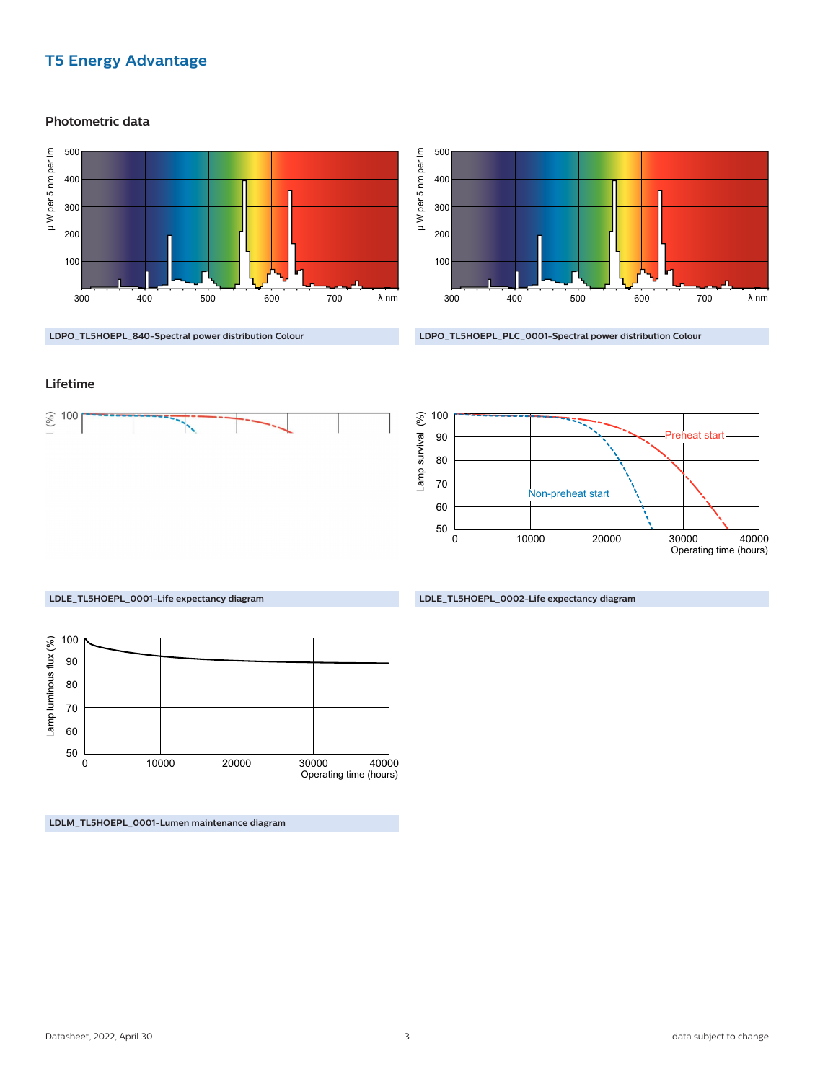## **T5 Energy Advantage**

**Photometric data**





**LDPO\_TL5HOEPL\_PLC\_0001-Spectral power distribution Colour**

#### **Lifetime**





**LDLE\_TL5HOEPL\_0002-Life expectancy diagram**



**LDLM\_TL5HOEPL\_0001-Lumen maintenance diagram**

**LDLE\_TL5HOEPL\_0001-Life expectancy diagram**

**LDPO\_TL5HOEPL\_840-Spectral power distribution Colour**